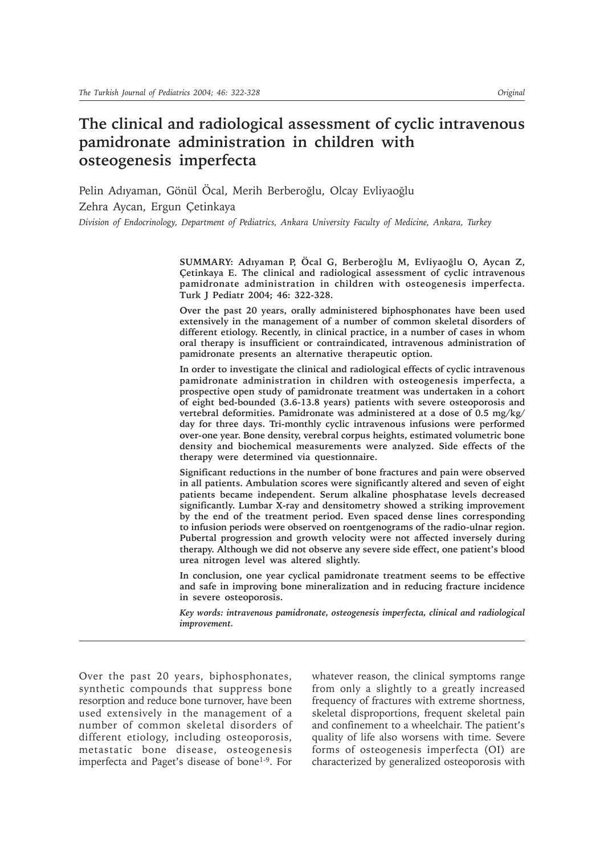# **The clinical and radiological assessment of cyclic intravenous pamidronate administration in children with osteogenesis imperfecta**

Pelin Adıyaman, Gönül Öcal, Merih Berberoğlu, Olcay Evliyaoğlu Zehra Aycan, Ergun Cetinkaya

*Division of Endocrinology, Department of Pediatrics, Ankara University Faculty of Medicine, Ankara, Turkey*

SUMMARY: Adıyaman P, Öcal G, Berberoğlu M, Evliyaoğlu O, Aycan Z, **«etinkaya E. The clinical and radiological assessment of cyclic intravenous pamidronate administration in children with osteogenesis imperfecta. Turk J Pediatr 2004; 46: 322-328.**

**Over the past 20 years, orally administered biphosphonates have been used extensively in the management of a number of common skeletal disorders of different etiology. Recently, in clinical practice, in a number of cases in whom oral therapy is insufficient or contraindicated, intravenous administration of pamidronate presents an alternative therapeutic option.**

**In order to investigate the clinical and radiological effects of cyclic intravenous pamidronate administration in children with osteogenesis imperfecta, a prospective open study of pamidronate treatment was undertaken in a cohort of eight bed-bounded (3.6-13.8 years) patients with severe osteoporosis and vertebral deformities. Pamidronate was administered at a dose of 0.5 mg/kg/ day for three days. Tri-monthly cyclic intravenous infusions were performed over-one year. Bone density, verebral corpus heights, estimated volumetric bone density and biochemical measurements were analyzed. Side effects of the therapy were determined via questionnaire.**

**Significant reductions in the number of bone fractures and pain were observed in all patients. Ambulation scores were significantly altered and seven of eight patients became independent. Serum alkaline phosphatase levels decreased significantly. Lumbar X-ray and densitometry showed a striking improvement by the end of the treatment period. Even spaced dense lines corresponding to infusion periods were observed on roentgenograms of the radio-ulnar region. Pubertal progression and growth velocity were not affected inversely during** therapy. Although we did not observe any severe side effect, one patient's blood **urea nitrogen level was altered slightly.**

**In conclusion, one year cyclical pamidronate treatment seems to be effective and safe in improving bone mineralization and in reducing fracture incidence in severe osteoporosis.**

*Key words: intravenous pamidronate, osteogenesis imperfecta, clinical and radiological improvement.*

Over the past 20 years, biphosphonates, synthetic compounds that suppress bone resorption and reduce bone turnover, have been used extensively in the management of a number of common skeletal disorders of different etiology, including osteoporosis, metastatic bone disease, osteogenesis imperfecta and Paget's disease of bone<sup>1-9</sup>. For

whatever reason, the clinical symptoms range from only a slightly to a greatly increased frequency of fractures with extreme shortness, skeletal disproportions, frequent skeletal pain and confinement to a wheelchair. The patient's quality of life also worsens with time. Severe forms of osteogenesis imperfecta (OI) are characterized by generalized osteoporosis with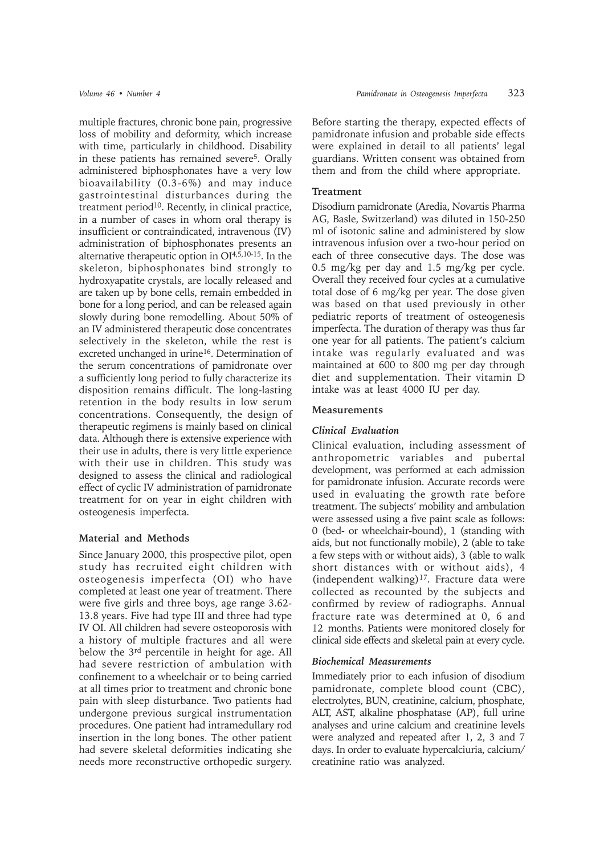multiple fractures, chronic bone pain, progressive loss of mobility and deformity, which increase with time, particularly in childhood. Disability in these patients has remained severe<sup>5</sup>. Orally administered biphosphonates have a very low bioavailability (0.3-6%) and may induce gastrointestinal disturbances during the treatment period<sup>10</sup>. Recently, in clinical practice, in a number of cases in whom oral therapy is insufficient or contraindicated, intravenous (IV) administration of biphosphonates presents an alternative therapeutic option in OI4,5,10-15. In the skeleton, biphosphonates bind strongly to hydroxyapatite crystals, are locally released and are taken up by bone cells, remain embedded in bone for a long period, and can be released again slowly during bone remodelling. About 50% of an IV administered therapeutic dose concentrates selectively in the skeleton, while the rest is excreted unchanged in urine<sup>16</sup>. Determination of the serum concentrations of pamidronate over a sufficiently long period to fully characterize its disposition remains difficult. The long-lasting retention in the body results in low serum concentrations. Consequently, the design of therapeutic regimens is mainly based on clinical data. Although there is extensive experience with their use in adults, there is very little experience with their use in children. This study was designed to assess the clinical and radiological effect of cyclic IV administration of pamidronate treatment for on year in eight children with osteogenesis imperfecta.

# **Material and Methods**

Since January 2000, this prospective pilot, open study has recruited eight children with osteogenesis imperfecta (OI) who have completed at least one year of treatment. There were five girls and three boys, age range 3.62- 13.8 years. Five had type III and three had type IV OI. All children had severe osteoporosis with a history of multiple fractures and all were below the 3rd percentile in height for age. All had severe restriction of ambulation with confinement to a wheelchair or to being carried at all times prior to treatment and chronic bone pain with sleep disturbance. Two patients had undergone previous surgical instrumentation procedures. One patient had intramedullary rod insertion in the long bones. The other patient had severe skeletal deformities indicating she needs more reconstructive orthopedic surgery. Before starting the therapy, expected effects of pamidronate infusion and probable side effects were explained in detail to all patients' legal guardians. Written consent was obtained from them and from the child where appropriate.

# **Treatment**

Disodium pamidronate (Aredia, Novartis Pharma AG, Basle, Switzerland) was diluted in 150-250 ml of isotonic saline and administered by slow intravenous infusion over a two-hour period on each of three consecutive days. The dose was 0.5 mg/kg per day and 1.5 mg/kg per cycle. Overall they received four cycles at a cumulative total dose of 6 mg/kg per year. The dose given was based on that used previously in other pediatric reports of treatment of osteogenesis imperfecta. The duration of therapy was thus far one year for all patients. The patient's calcium intake was regularly evaluated and was maintained at 600 to 800 mg per day through diet and supplementation. Their vitamin D intake was at least 4000 IU per day.

#### **Measurements**

#### *Clinical Evaluation*

Clinical evaluation, including assessment of anthropometric variables and pubertal development, was performed at each admission for pamidronate infusion. Accurate records were used in evaluating the growth rate before treatment. The subjects' mobility and ambulation were assessed using a five paint scale as follows: 0 (bed- or wheelchair-bound), 1 (standing with aids, but not functionally mobile), 2 (able to take a few steps with or without aids), 3 (able to walk short distances with or without aids), 4 (independent walking) $17$ . Fracture data were collected as recounted by the subjects and confirmed by review of radiographs. Annual fracture rate was determined at 0, 6 and 12 months. Patients were monitored closely for clinical side effects and skeletal pain at every cycle.

#### *Biochemical Measurements*

Immediately prior to each infusion of disodium pamidronate, complete blood count (CBC), electrolytes, BUN, creatinine, calcium, phosphate, ALT, AST, alkaline phosphatase (AP), full urine analyses and urine calcium and creatinine levels were analyzed and repeated after 1, 2, 3 and 7 days. In order to evaluate hypercalciuria, calcium/ creatinine ratio was analyzed.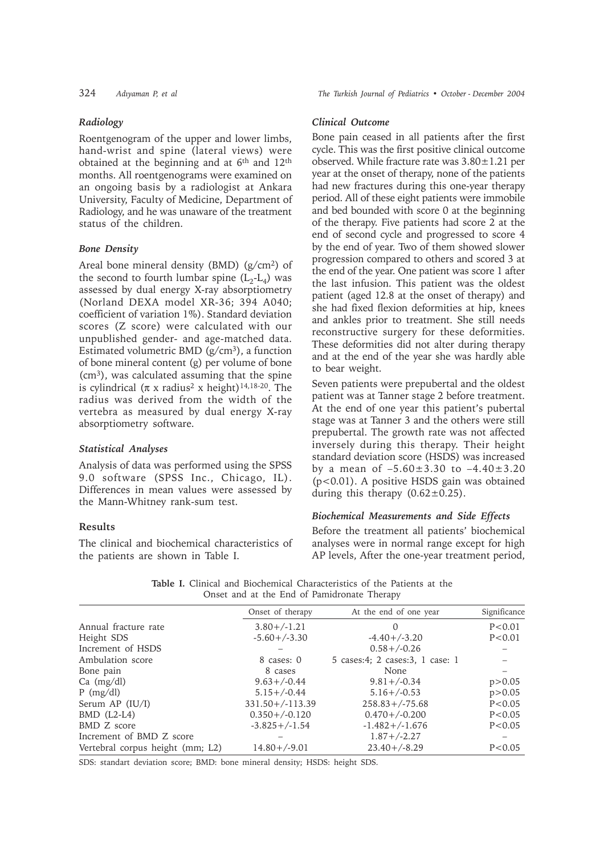### *Radiology*

Roentgenogram of the upper and lower limbs, hand-wrist and spine (lateral views) were obtained at the beginning and at 6<sup>th</sup> and 12<sup>th</sup> months. All roentgenograms were examined on an ongoing basis by a radiologist at Ankara University, Faculty of Medicine, Department of Radiology, and he was unaware of the treatment status of the children.

# *Bone Density*

Areal bone mineral density (BMD)  $(g/cm^2)$  of the second to fourth lumbar spine  $(L_2-L_4)$  was assessed by dual energy X-ray absorptiometry (Norland DEXA model XR-36; 394 A040; coefficient of variation 1%). Standard deviation scores (Z score) were calculated with our unpublished gender- and age-matched data. Estimated volumetric BMD  $(g/cm^3)$ , a function of bone mineral content (g) per volume of bone  $(cm<sup>3</sup>)$ , was calculated assuming that the spine is cylindrical ( $\pi$  x radius<sup>2</sup> x height)<sup>14,18-20</sup>. The radius was derived from the width of the vertebra as measured by dual energy X-ray absorptiometry software.

#### *Statistical Analyses*

Analysis of data was performed using the SPSS 9.0 software (SPSS Inc., Chicago, IL). Differences in mean values were assessed by the Mann-Whitney rank-sum test.

# **Results**

The clinical and biochemical characteristics of the patients are shown in Table I.

324 *Adıyaman P, et al* The Turkish Journal of Pediatrics • October - December 2004

### *Clinical Outcome*

Bone pain ceased in all patients after the first cycle. This was the first positive clinical outcome observed. While fracture rate was 3.80±1.21 per year at the onset of therapy, none of the patients had new fractures during this one-year therapy period. All of these eight patients were immobile and bed bounded with score 0 at the beginning of the therapy. Five patients had score 2 at the end of second cycle and progressed to score 4 by the end of year. Two of them showed slower progression compared to others and scored 3 at the end of the year. One patient was score 1 after the last infusion. This patient was the oldest patient (aged 12.8 at the onset of therapy) and she had fixed flexion deformities at hip, knees and ankles prior to treatment. She still needs reconstructive surgery for these deformities. These deformities did not alter during therapy and at the end of the year she was hardly able to bear weight.

Seven patients were prepubertal and the oldest patient was at Tanner stage 2 before treatment. At the end of one year this patient's pubertal stage was at Tanner 3 and the others were still prepubertal. The growth rate was not affected inversely during this therapy. Their height standard deviation score (HSDS) was increased by a mean of  $-5.60\pm3.30$  to  $-4.40\pm3.20$ (p<0.01). A positive HSDS gain was obtained during this therapy  $(0.62 \pm 0.25)$ .

# *Biochemical Measurements and Side Effects*

Before the treatment all patients' biochemical analyses were in normal range except for high AP levels, After the one-year treatment period,

**Table I.** Clinical and Biochemical Characteristics of the Patients at the Onset and at the End of Pamidronate Therapy

|                                  | $\sigma$ - $\sigma$ and at the $\sigma$ and $\sigma$ radiational incrups |                                   |              |
|----------------------------------|--------------------------------------------------------------------------|-----------------------------------|--------------|
|                                  | Onset of therapy                                                         | At the end of one year            | Significance |
| Annual fracture rate             | $3.80 + (-1.21)$                                                         | $\left( \right)$                  | P < 0.01     |
| Height SDS                       | $-5.60 + (-3.30)$                                                        | $-4.40+/-3.20$                    | P < 0.01     |
| Increment of HSDS                |                                                                          | $0.58 + (-0.26)$                  |              |
| Ambulation score                 | 8 cases: 0                                                               | 5 cases: 4; 2 cases: 3, 1 case: 1 |              |
| Bone pain                        | 8 cases                                                                  | None                              |              |
| $Ca \ (mg/dl)$                   | $9.63 + (-0.44)$                                                         | $9.81 + (-0.34)$                  | p > 0.05     |
| $P$ (mg/dl)                      | $5.15 + (-0.44)$                                                         | $5.16 + (-0.53)$                  | p > 0.05     |
| Serum AP $(IU/I)$                | $331.50+/-113.39$                                                        | $258.83 + / -75.68$               | P < 0.05     |
| $BMD$ (L2-L4)                    | $0.350+/-0.120$                                                          | $0.470 + (-0.200)$                | P < 0.05     |
| BMD Z score                      | $-3.825+/-1.54$                                                          | $-1.482 + (-1.676)$               | P < 0.05     |
| Increment of BMD Z score         |                                                                          | $1.87 + (-2.27)$                  |              |
| Vertebral corpus height (mm; L2) | $14.80 + (-9.01)$                                                        | $23.40 + (-8.29)$                 | P < 0.05     |
|                                  |                                                                          |                                   |              |

SDS: standart deviation score; BMD: bone mineral density; HSDS: height SDS.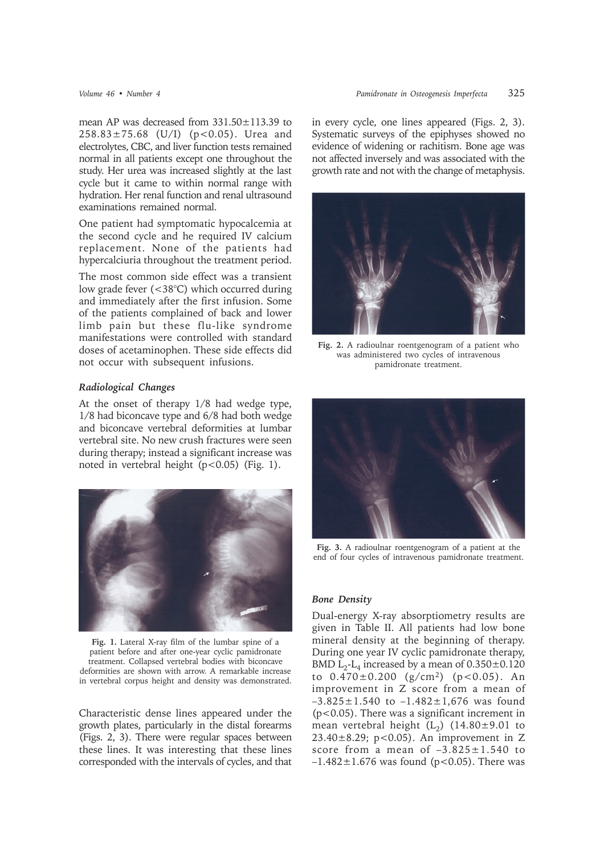mean AP was decreased from 331.50±113.39 to 258.83±75.68 (U/I) (p<0.05). Urea and electrolytes, CBC, and liver function tests remained normal in all patients except one throughout the study. Her urea was increased slightly at the last cycle but it came to within normal range with hydration. Her renal function and renal ultrasound examinations remained normal.

One patient had symptomatic hypocalcemia at the second cycle and he required IV calcium replacement. None of the patients had hypercalciuria throughout the treatment period.

The most common side effect was a transient low grade fever (<38°C) which occurred during and immediately after the first infusion. Some of the patients complained of back and lower limb pain but these flu-like syndrome manifestations were controlled with standard doses of acetaminophen. These side effects did not occur with subsequent infusions.

#### *Radiological Changes*

At the onset of therapy 1/8 had wedge type, 1/8 had biconcave type and 6/8 had both wedge and biconcave vertebral deformities at lumbar vertebral site. No new crush fractures were seen during therapy; instead a significant increase was noted in vertebral height  $(p<0.05)$  (Fig. 1).



**Fig. 1.** Lateral X-ray film of the lumbar spine of a patient before and after one-year cyclic pamidronate treatment. Collapsed vertebral bodies with biconcave deformities are shown with arrow. A remarkable increase in vertebral corpus height and density was demonstrated.

Characteristic dense lines appeared under the growth plates, particularly in the distal forearms (Figs. 2, 3). There were regular spaces between these lines. It was interesting that these lines corresponded with the intervals of cycles, and that in every cycle, one lines appeared (Figs. 2, 3). Systematic surveys of the epiphyses showed no evidence of widening or rachitism. Bone age was not affected inversely and was associated with the growth rate and not with the change of metaphysis.



**Fig. 2.** A radioulnar roentgenogram of a patient who was administered two cycles of intravenous pamidronate treatment.



**Fig. 3.** A radioulnar roentgenogram of a patient at the end of four cycles of intravenous pamidronate treatment.

#### *Bone Density*

Dual-energy X-ray absorptiometry results are given in Table II. All patients had low bone mineral density at the beginning of therapy. During one year IV cyclic pamidronate therapy, BMD  $L_2$ - $L_4$  increased by a mean of  $0.350 \pm 0.120$ to  $0.470 \pm 0.200$  (g/cm<sup>2</sup>) (p < 0.05). An improvement in Z score from a mean of  $-3.825 \pm 1.540$  to  $-1.482 \pm 1.676$  was found (p<0.05). There was a significant increment in mean vertebral height  $(L_2)$  (14.80±9.01 to 23.40±8.29; p<0.05). An improvement in Z score from a mean of  $-3.825 \pm 1.540$  to  $-1.482 \pm 1.676$  was found (p<0.05). There was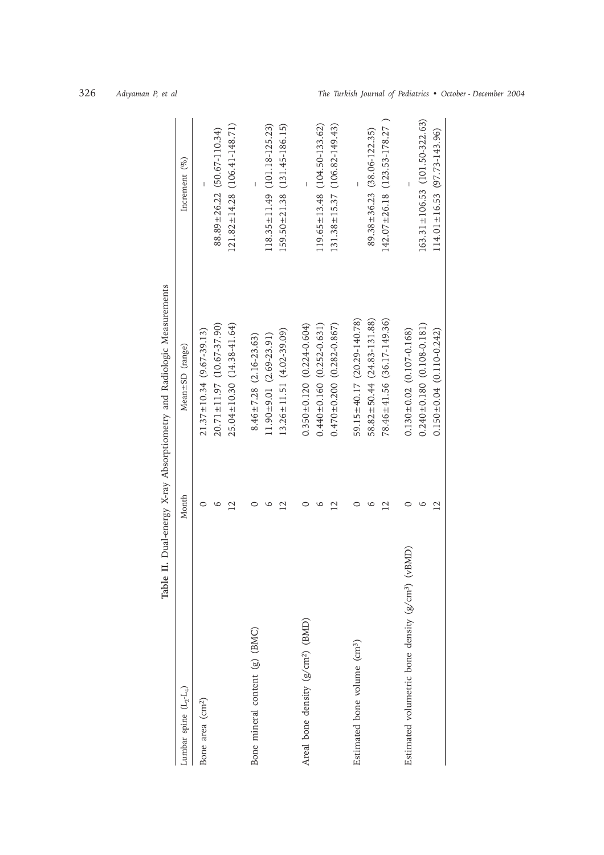| Table                                              |                         | II. Dual-energy X-ray Absorptiometry and Radiologic Measurements |                                        |
|----------------------------------------------------|-------------------------|------------------------------------------------------------------|----------------------------------------|
| Lumbar spine $(L_2-L_4)$                           | Month                   | Mean±SD (range)                                                  | Increment $(\%)$                       |
| Bone area (cm <sup>2</sup> )                       |                         | $21.37 \pm 10.34$ (9.67-39.13)                                   |                                        |
|                                                    | G                       | $20.71 \pm 11.97$ (10.67-37.90)                                  | $88.89 \pm 26.22$ (50.67-110.34)       |
|                                                    | $\overline{2}$          | $25.04 \pm 10.30(14.38 - 41.64)$                                 | $121.82 \pm 14.28$ (106.41-148.71)     |
| Bone mineral content (g) (BMC)                     |                         | $8.46 \pm 7.28$ (2.16-23.63)                                     |                                        |
|                                                    | 6                       | $11.90 \pm 9.01$ (2.69-23.91)                                    | $118.35 \pm 11.49$ (101.18-125.23)     |
|                                                    | $\overline{2}$          | $13.26 \pm 11.51$ (4.02-39.09)                                   | $159.50 \pm 21.38$ $(131.45 - 186.15)$ |
| Areal bone density (g/cm <sup>2</sup> ) (BMD)      |                         | $0.350 \pm 0.120$ $(0.224 - 0.604)$                              |                                        |
|                                                    | ဖ                       | $0.440 \pm 0.160$ $(0.252 - 0.631)$                              | $119.65 \pm 13.48$ (104.50-133.62)     |
|                                                    | $\overline{\mathbf{C}}$ | $0.470 \pm 0.200$ $(0.282 - 0.867)$                              | $131.38 \pm 15.37$ (106.82-149.43)     |
| Estimated bone volume (cm <sup>3</sup> )           |                         | 59.15 ± 40.17 (20.29-140.78)                                     |                                        |
|                                                    | ం                       | $58.82 \pm 50.44$ (24.83-131.88)                                 | $89.38 \pm 36.23$ (38.06-122.35)       |
|                                                    | $\overline{2}$          | 78.46±41.56 (36.17-149.36)                                       | $142.07 \pm 26.18$ (123.53-178.27)     |
| Estimated volumetric bone density $(g/cm3)$ (vBMD) |                         | $0.130 \pm 0.02$ (0.107-0.168)                                   |                                        |
|                                                    | ١C                      | $0.240 \pm 0.180$ (0.108-0.181)                                  | $163.31 \pm 106.53$ (101.50-322.63)    |
|                                                    | $\mathcal{C}_{1}$       | $0.150 \pm 0.04$ (0.110-0.242)                                   | $114.01 \pm 16.53$ (97.73-143.96)      |
|                                                    |                         |                                                                  |                                        |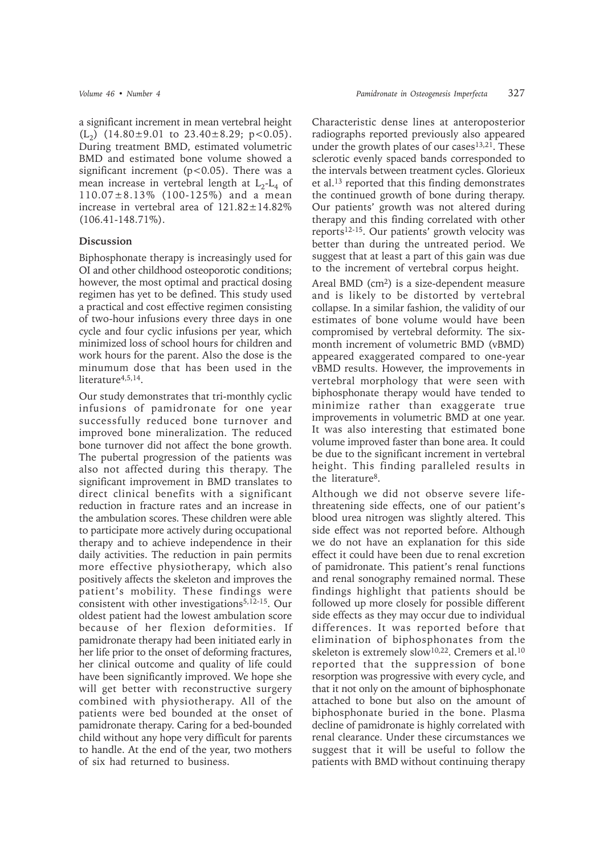a significant increment in mean vertebral height  $(L_2)$  (14.80±9.01 to 23.40±8.29; p<0.05). During treatment BMD, estimated volumetric BMD and estimated bone volume showed a significant increment ( $p < 0.05$ ). There was a mean increase in vertebral length at  $L_2-L_4$  of 110.07±8.13% (100-125%) and a mean increase in vertebral area of  $121.82 \pm 14.82\%$ (106.41-148.71%).

### **Discussion**

Biphosphonate therapy is increasingly used for OI and other childhood osteoporotic conditions; however, the most optimal and practical dosing regimen has yet to be defined. This study used a practical and cost effective regimen consisting of two-hour infusions every three days in one cycle and four cyclic infusions per year, which minimized loss of school hours for children and work hours for the parent. Also the dose is the minumum dose that has been used in the literature<sup>4,5,14</sup>.

Our study demonstrates that tri-monthly cyclic infusions of pamidronate for one year successfully reduced bone turnover and improved bone mineralization. The reduced bone turnover did not affect the bone growth. The pubertal progression of the patients was also not affected during this therapy. The significant improvement in BMD translates to direct clinical benefits with a significant reduction in fracture rates and an increase in the ambulation scores. These children were able to participate more actively during occupational therapy and to achieve independence in their daily activities. The reduction in pain permits more effective physiotherapy, which also positively affects the skeleton and improves the patient's mobility. These findings were consistent with other investigations<sup>5,12-15</sup>. Our oldest patient had the lowest ambulation score because of her flexion deformities. If pamidronate therapy had been initiated early in her life prior to the onset of deforming fractures, her clinical outcome and quality of life could have been significantly improved. We hope she will get better with reconstructive surgery combined with physiotherapy. All of the patients were bed bounded at the onset of pamidronate therapy. Caring for a bed-bounded child without any hope very difficult for parents to handle. At the end of the year, two mothers of six had returned to business.

Characteristic dense lines at anteroposterior radiographs reported previously also appeared under the growth plates of our cases $13,21$ . These sclerotic evenly spaced bands corresponded to the intervals between treatment cycles. Glorieux et al.13 reported that this finding demonstrates the continued growth of bone during therapy. Our patients' growth was not altered during therapy and this finding correlated with other reports<sup>12-15</sup>. Our patients' growth velocity was better than during the untreated period. We suggest that at least a part of this gain was due to the increment of vertebral corpus height.

Areal BMD (cm<sup>2</sup>) is a size-dependent measure and is likely to be distorted by vertebral collapse. In a similar fashion, the validity of our estimates of bone volume would have been compromised by vertebral deformity. The sixmonth increment of volumetric BMD (vBMD) appeared exaggerated compared to one-year vBMD results. However, the improvements in vertebral morphology that were seen with biphosphonate therapy would have tended to minimize rather than exaggerate true improvements in volumetric BMD at one year. It was also interesting that estimated bone volume improved faster than bone area. It could be due to the significant increment in vertebral height. This finding paralleled results in the literature8.

Although we did not observe severe lifethreatening side effects, one of our patient's blood urea nitrogen was slightly altered. This side effect was not reported before. Although we do not have an explanation for this side effect it could have been due to renal excretion of pamidronate. This patient's renal functions and renal sonography remained normal. These findings highlight that patients should be followed up more closely for possible different side effects as they may occur due to individual differences. It was reported before that elimination of biphosphonates from the skeleton is extremely slow<sup>10,22</sup>. Cremers et al.<sup>10</sup> reported that the suppression of bone resorption was progressive with every cycle, and that it not only on the amount of biphosphonate attached to bone but also on the amount of biphosphonate buried in the bone. Plasma decline of pamidronate is highly correlated with renal clearance. Under these circumstances we suggest that it will be useful to follow the patients with BMD without continuing therapy